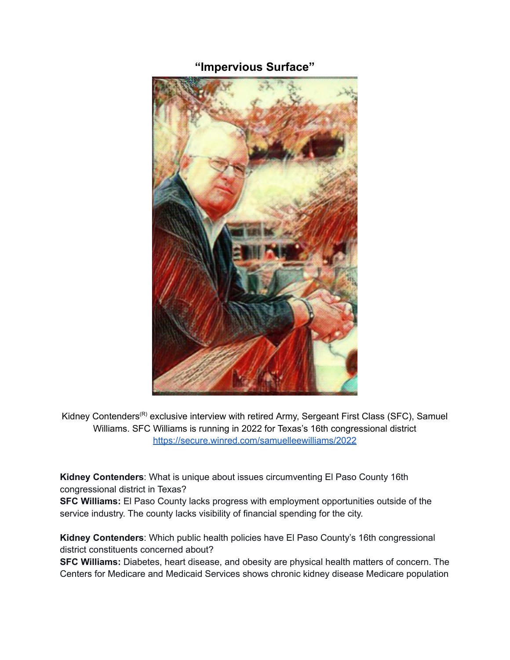## **"Impervious Surface"**



Kidney Contenders<sup>(R)</sup> exclusive interview with retired Army, Sergeant First Class (SFC), Samuel Williams. SFC Williams is running in 2022 for Texas's 16th congressional district <https://secure.winred.com/samuelleewilliams/2022>

**Kidney Contenders**: What is unique about issues circumventing El Paso County 16th congressional district in Texas?

**SFC Williams:** El Paso County lacks progress with employment opportunities outside of the service industry. The county lacks visibility of financial spending for the city.

**Kidney Contenders**: Which public health policies have El Paso County's 16th congressional district constituents concerned about?

**SFC Williams:** Diabetes, heart disease, and obesity are physical health matters of concern. The Centers for Medicare and Medicaid Services shows chronic kidney disease Medicare population